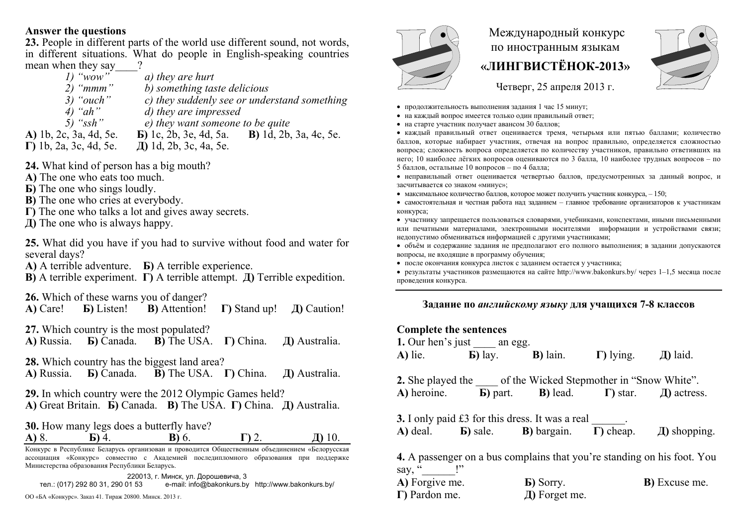## **Answer the questions**

**23.** People in different parts of the world use different sound, not words, in different situations. What do people in English-speaking countries mean when they say<br> $\frac{1}{2}$  "wow"

- *1)* "wow" a) they are hurt<br>2) "mmm" b) something tas *2) "mmm" b) something taste delicious 3) "ouch" c) they suddenly see or understand something 4) "ah" d) they are impressed*   $\overrightarrow{e}$ ) they want someone to be quite **А)** 1b, 2c, 3 <sup>а</sup>, 4d, 5e. **Б)** 1c, 2b, 3e, 4d, 5 <sup>а</sup>. **В)** 1d, 2b, 3 <sup>а</sup>, 4c, 5e.
- **Г)** 1b, 2 <sup>а</sup>, 3c, 4d, 5e. **Д)** 1d, 2b, 3c, 4 <sup>а</sup>, 5e.
- **24.** What kind of person has a big mouth?
- **А)** The one who eats too much.
- **Б**) The one who sings loudly.
- **В)** The one who cries at everybody.
- **Г)** The one who talks a lot and gives away secrets.
- **Д)** The one who is always happy.

**25.** What did you have if you had to survive without food and water for several days?

**А)** A terrible adventure. **Б)** A terrible experience.

**В)** A terrible experiment. **Г)** A terrible attempt. **Д)** Terrible expedition.

- **26.** Which of these warns you of danger?
- **А)** Care! **Б)** Listen! **В)** Attention! **Г)** Stand up! **Д)** Caution!
- **27.** Which country is the most populated?<br>**A)** Russia. **b)** Canada. **B)** The USA.

**A)** Russia. **Б)** Canada. **B)** The USA. **Г)** China. **Д)** Australia.

**28.** Which country has the biggest land area?

**A)** Russia. **Б)** Canada. **B)** The USA. **Г)** China. **Д)** Australia.

**29.** In which country were the 2012 Olympic Games held? **А)** Great Britain. **Б)** Canada. **В)** The USA. **Г)** China. **Д)** Australia.

**30.** How many legs does a butterfly have? **A)** 8. **Б)** 4. **B)** 6. **Г)** 2. **Д)** 10.

Конкурс <sup>в</sup> Республике Беларусь организован <sup>и</sup> проводится Общественным объединением «Белорусская ассоциация «Конкурс» совместно <sup>с</sup> Академией последипломного образования при поддержке Министерства образования Республики Беларусь.

220013, <sup>г</sup>. Минск, ул. Дорошевича, 3 тел.: (017) 292 80 31, 290 01 53 e-mail: info@bakonkurs.by http://www.bakonkurs.by/

ОО «БА «Конкурс». Заказ 41. Тираж 20800. Минск. 2013 <sup>г</sup>. **Г)** Pardon me.



## Международный конкурс по иностранным языкам **«ЛИНГВИСТЁНОК-2013»**



Четверг, 25 апреля 2013 г.

- продолжительность выполнения задания 1 час 15 минут;
- на каждый вопрос имеется только один правильный ответ;
- на старте участник получает авансом 30 баллов;

 каждый правильный ответ оценивается тремя, четырьмя или пятью баллами; количество баллов, которые набирает участник, отвечая на вопрос правильно, определяется сложностью вопроса; сложность вопроса определяется по количеству участников, правильно ответивших на него; 10 наиболее лёгких вопросов оцениваются по 3 балла, 10 наиболее трудных вопросов – по 5 баллов, остальные 10 вопросов – по 4 балла;

- неправильный ответ оценивается четвертью баллов, предусмотренных за данный вопрос, <sup>и</sup> засчитывается со знаком «минус»;
- максимальное количество баллов, которое может получить участник конкурса,  $-150$ ;
- самостоятельная и честная работа над заданием главное требование организаторов <sup>к</sup> участникам конкурса;
- участнику запрещается пользоваться словарями, учебниками, конспектами, иными письменными или печатными материалами, электронными носителями информации <sup>и</sup> устройствами связи; недопустимо обмениваться информацией <sup>с</sup> другими участниками;
- объём <sup>и</sup> содержание задания не предполагают его полного выполнения; <sup>в</sup> задании допускаются вопросы, не входящие <sup>в</sup> программу обучения;
- после окончания конкурса листок с заданием остается у участника;

 результаты участников размещаются на сайте http://www.bakonkurs.by/ через 1–1,5 месяца после проведения конкурса.

## **Задание по** *английскому языку* **для учащихся 7-8 классов**

## **Complete the sentences**

|                                | 1. Our hen's just $\_\_\_\$ an egg.                                                |                   |                                                   |                                                                                      |
|--------------------------------|------------------------------------------------------------------------------------|-------------------|---------------------------------------------------|--------------------------------------------------------------------------------------|
| <b>A)</b> lie. <b>b</b> ) lay. |                                                                                    |                   | <b>B</b> ) lain. $\Gamma$ ) lying. $\Box$ I laid. |                                                                                      |
|                                | <b>2.</b> She played the ______ of the Wicked Stepmother in "Snow White".          |                   |                                                   |                                                                                      |
|                                | A) heroine. <b>b</b> ) part. <b>b</b> ) lead. $\Gamma$ ) star. <i>A</i> ) actress. |                   |                                                   |                                                                                      |
|                                | <b>3.</b> I only paid £3 for this dress. It was a real                             |                   |                                                   |                                                                                      |
|                                |                                                                                    |                   |                                                   | A) deal. <b>b</b> ) sale. <b>b</b> ) bargain. <b>h</b> ) cheap. $\Box$ and shopping. |
| say, " $\qquad$ !"             |                                                                                    |                   |                                                   | <b>4.</b> A passenger on a bus complains that you're standing on his foot. You       |
| A) Forgive me.                 |                                                                                    | <b>b</b> ) Sorry. |                                                   | <b>B</b> ) Excuse me.                                                                |
| $\Gamma$ ) Pardon me.          |                                                                                    | Д) Forget me.     |                                                   |                                                                                      |